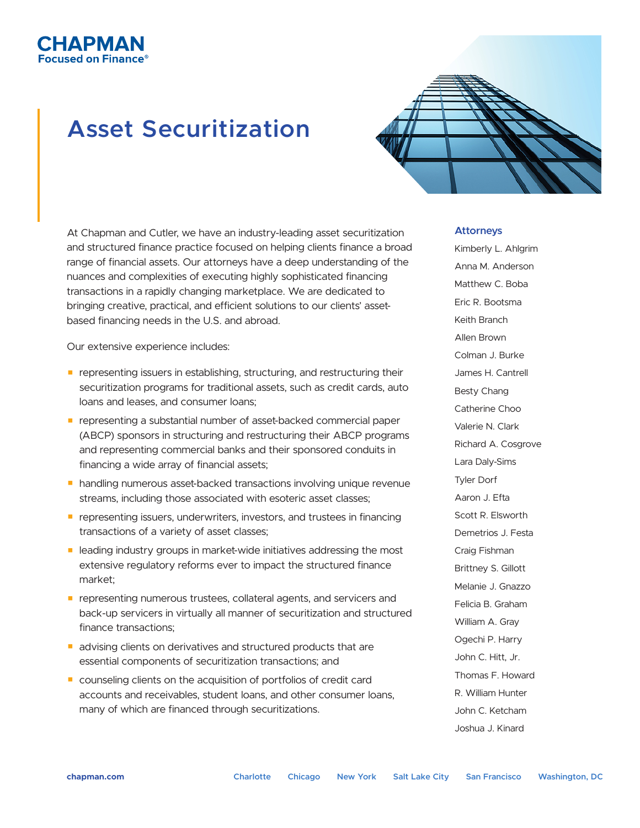# СНАРМАН sed on Finance

# **Asset Securitization**



At Chapman and Cutler, we have an industry-leading asset securitization and structured finance practice focused on helping clients finance a broad range of financial assets. Our attorneys have a deep understanding of the nuances and complexities of executing highly sophisticated financing transactions in a rapidly changing marketplace. We are dedicated to bringing creative, practical, and efficient solutions to our clients' assetbased financing needs in the U.S. and abroad.

Our extensive experience includes:

- representing issuers in establishing, structuring, and restructuring their securitization programs for traditional assets, such as credit cards, auto loans and leases, and consumer loans;
- representing a substantial number of asset-backed commercial paper (ABCP) sponsors in structuring and restructuring their ABCP programs and representing commercial banks and their sponsored conduits in financing a wide array of financial assets;
- handling numerous asset-backed transactions involving unique revenue streams, including those associated with esoteric asset classes;
- representing issuers, underwriters, investors, and trustees in financing transactions of a variety of asset classes;
- leading industry groups in market-wide initiatives addressing the most extensive regulatory reforms ever to impact the structured finance market;
- representing numerous trustees, collateral agents, and servicers and back-up servicers in virtually all manner of securitization and structured finance transactions;
- advising clients on derivatives and structured products that are essential components of securitization transactions; and
- counseling clients on the acquisition of portfolios of credit card accounts and receivables, student loans, and other consumer loans, many of which are financed through securitizations.

#### **Attorneys**

Kimberly L. Ahlgrim Anna M. Anderson Matthew C. Boba Eric R. Bootsma Keith Branch Allen Brown Colman J. Burke James H. Cantrell Besty Chang Catherine Choo Valerie N. Clark Richard A. Cosgrove Lara Daly-Sims Tyler Dorf Aaron J. Efta Scott R. Elsworth Demetrios J. Festa Craig Fishman Brittney S. Gillott Melanie J. Gnazzo Felicia B. Graham William A. Gray Ogechi P. Harry John C. Hitt, Jr. Thomas F. Howard R. William Hunter John C. Ketcham Joshua J. Kinard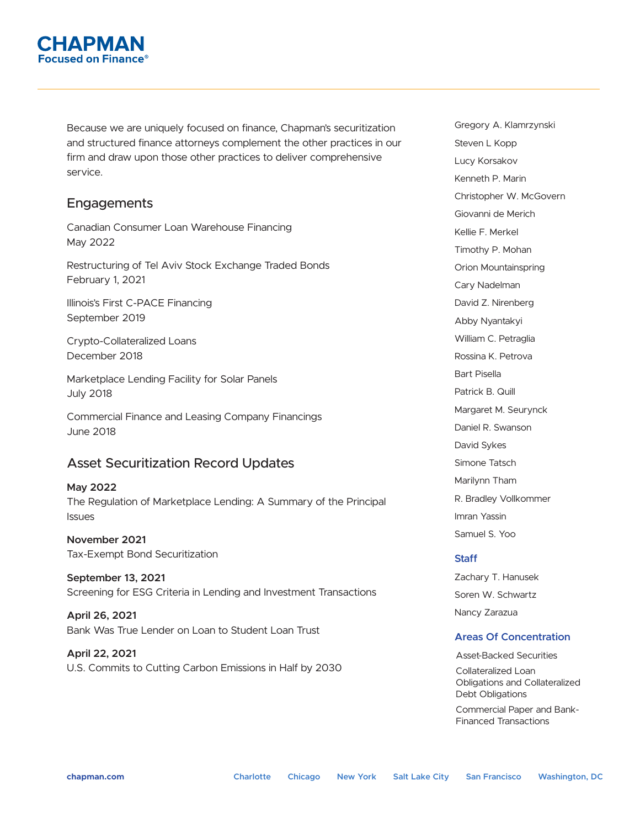

Because we are uniquely focused on finance, Chapman's securitization and structured finance attorneys complement the other practices in our firm and draw upon those other practices to deliver comprehensive service.

# **Engagements**

Canadian Consumer Loan Warehouse Financing May 2022

Restructuring of Tel Aviv Stock Exchange Traded Bonds February 1, 2021

Illinois's First C-PACE Financing September 2019

Crypto-Collateralized Loans December 2018

Marketplace Lending Facility for Solar Panels July 2018

Commercial Finance and Leasing Company Financings June 2018

# Asset Securitization Record Updates

**May 2022** The Regulation of Marketplace Lending: A Summary of the Principal **Issues** 

**November 2021** Tax-Exempt Bond Securitization

**September 13, 2021** Screening for ESG Criteria in Lending and Investment Transactions

**April 26, 2021** Bank Was True Lender on Loan to Student Loan Trust

**April 22, 2021** U.S. Commits to Cutting Carbon Emissions in Half by 2030 Gregory A. Klamrzynski Steven L Kopp Lucy Korsakov Kenneth P. Marin Christopher W. McGovern Giovanni de Merich Kellie F. Merkel Timothy P. Mohan Orion Mountainspring Cary Nadelman David Z. Nirenberg Abby Nyantakyi William C. Petraglia Rossina K. Petrova Bart Pisella Patrick B. Quill Margaret M. Seurynck Daniel R. Swanson David Sykes Simone Tatsch Marilynn Tham R. Bradley Vollkommer Imran Yassin Samuel S. Yoo

#### **Staff**

Zachary T. Hanusek Soren W. Schwartz Nancy Zarazua

#### **Areas Of Concentration**

Asset-Backed Securities Collateralized Loan Obligations and Collateralized Debt Obligations

Commercial Paper and Bank-Financed Transactions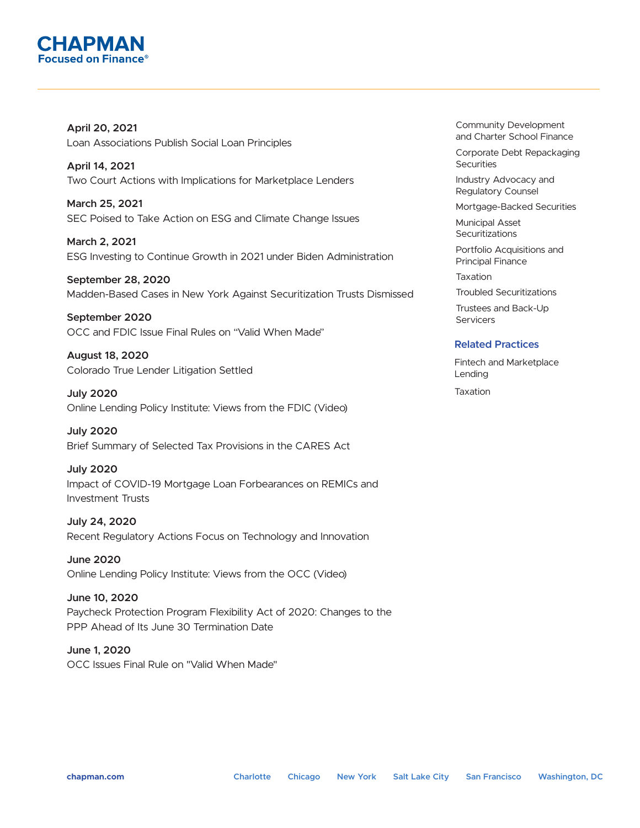

**April 20, 2021** Loan Associations Publish Social Loan Principles

**April 14, 2021** Two Court Actions with Implications for Marketplace Lenders

**March 25, 2021** SEC Poised to Take Action on ESG and Climate Change Issues

**March 2, 2021** ESG Investing to Continue Growth in 2021 under Biden Administration

**September 28, 2020** Madden-Based Cases in New York Against Securitization Trusts Dismissed

**September 2020** OCC and FDIC Issue Final Rules on "Valid When Made"

**August 18, 2020** Colorado True Lender Litigation Settled

**July 2020** Online Lending Policy Institute: Views from the FDIC (Video)

**July 2020** Brief Summary of Selected Tax Provisions in the CARES Act

**July 2020** Impact of COVID-19 Mortgage Loan Forbearances on REMICs and Investment Trusts

**July 24, 2020** Recent Regulatory Actions Focus on Technology and Innovation

**June 2020** Online Lending Policy Institute: Views from the OCC (Video)

**June 10, 2020** Paycheck Protection Program Flexibility Act of 2020: Changes to the PPP Ahead of Its June 30 Termination Date

**June 1, 2020** OCC Issues Final Rule on "Valid When Made" Community Development and Charter School Finance

Corporate Debt Repackaging **Securities** 

Industry Advocacy and Regulatory Counsel

Mortgage-Backed Securities

Municipal Asset Securitizations

Portfolio Acquisitions and Principal Finance

Taxation

Troubled Securitizations

Trustees and Back-Up **Servicers** 

#### **Related Practices**

Fintech and Marketplace Lending

Taxation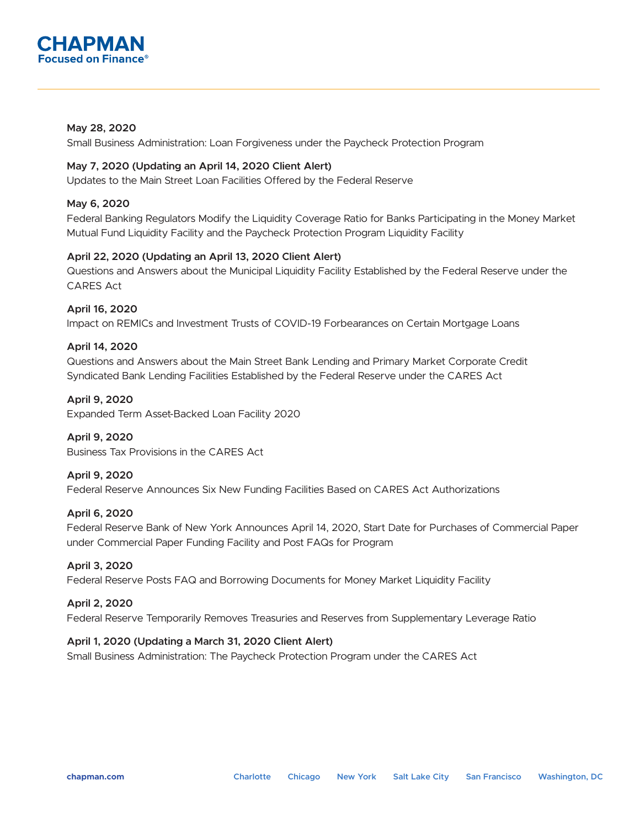

#### **May 28, 2020**

Small Business Administration: Loan Forgiveness under the Paycheck Protection Program

#### **May 7, 2020 (Updating an April 14, 2020 Client Alert)**

Updates to the Main Street Loan Facilities Offered by the Federal Reserve

#### **May 6, 2020**

Federal Banking Regulators Modify the Liquidity Coverage Ratio for Banks Participating in the Money Market Mutual Fund Liquidity Facility and the Paycheck Protection Program Liquidity Facility

# **April 22, 2020 (Updating an April 13, 2020 Client Alert)**

Questions and Answers about the Municipal Liquidity Facility Established by the Federal Reserve under the CARES Act

#### **April 16, 2020**

Impact on REMICs and Investment Trusts of COVID-19 Forbearances on Certain Mortgage Loans

#### **April 14, 2020**

Questions and Answers about the Main Street Bank Lending and Primary Market Corporate Credit Syndicated Bank Lending Facilities Established by the Federal Reserve under the CARES Act

#### **April 9, 2020**

Expanded Term Asset-Backed Loan Facility 2020

#### **April 9, 2020**

Business Tax Provisions in the CARES Act

#### **April 9, 2020**

Federal Reserve Announces Six New Funding Facilities Based on CARES Act Authorizations

#### **April 6, 2020**

Federal Reserve Bank of New York Announces April 14, 2020, Start Date for Purchases of Commercial Paper under Commercial Paper Funding Facility and Post FAQs for Program

#### **April 3, 2020**

Federal Reserve Posts FAQ and Borrowing Documents for Money Market Liquidity Facility

#### **April 2, 2020**

Federal Reserve Temporarily Removes Treasuries and Reserves from Supplementary Leverage Ratio

#### **April 1, 2020 (Updating a March 31, 2020 Client Alert)**

Small Business Administration: The Paycheck Protection Program under the CARES Act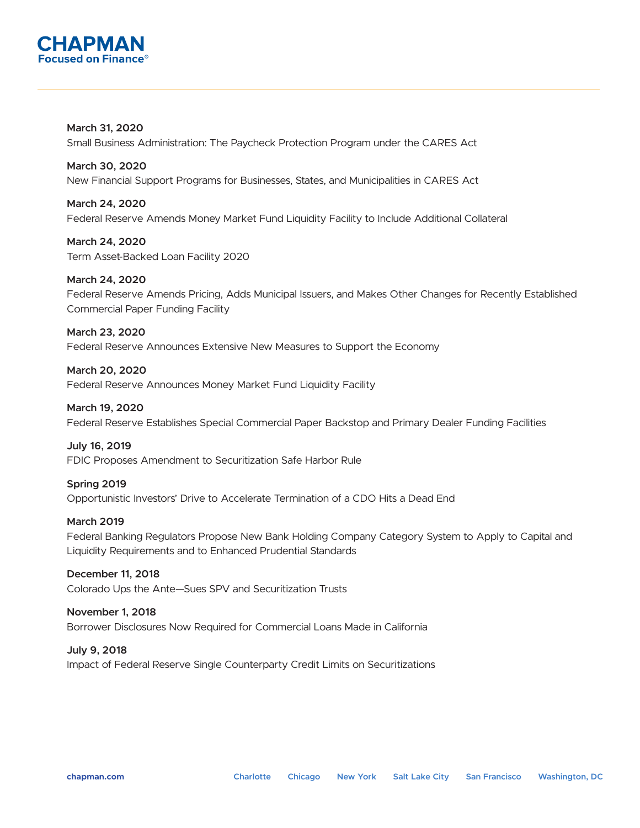

**March 31, 2020** Small Business Administration: The Paycheck Protection Program under the CARES Act

**March 30, 2020** New Financial Support Programs for Businesses, States, and Municipalities in CARES Act

**March 24, 2020** Federal Reserve Amends Money Market Fund Liquidity Facility to Include Additional Collateral

**March 24, 2020** Term Asset-Backed Loan Facility 2020

**March 24, 2020** Federal Reserve Amends Pricing, Adds Municipal Issuers, and Makes Other Changes for Recently Established Commercial Paper Funding Facility

**March 23, 2020** Federal Reserve Announces Extensive New Measures to Support the Economy

**March 20, 2020** Federal Reserve Announces Money Market Fund Liquidity Facility

**March 19, 2020** Federal Reserve Establishes Special Commercial Paper Backstop and Primary Dealer Funding Facilities

**July 16, 2019** FDIC Proposes Amendment to Securitization Safe Harbor Rule

**Spring 2019** Opportunistic Investors' Drive to Accelerate Termination of a CDO Hits a Dead End

**March 2019** Federal Banking Regulators Propose New Bank Holding Company Category System to Apply to Capital and Liquidity Requirements and to Enhanced Prudential Standards

**December 11, 2018** Colorado Ups the Ante—Sues SPV and Securitization Trusts

**November 1, 2018** Borrower Disclosures Now Required for Commercial Loans Made in California

**July 9, 2018** Impact of Federal Reserve Single Counterparty Credit Limits on Securitizations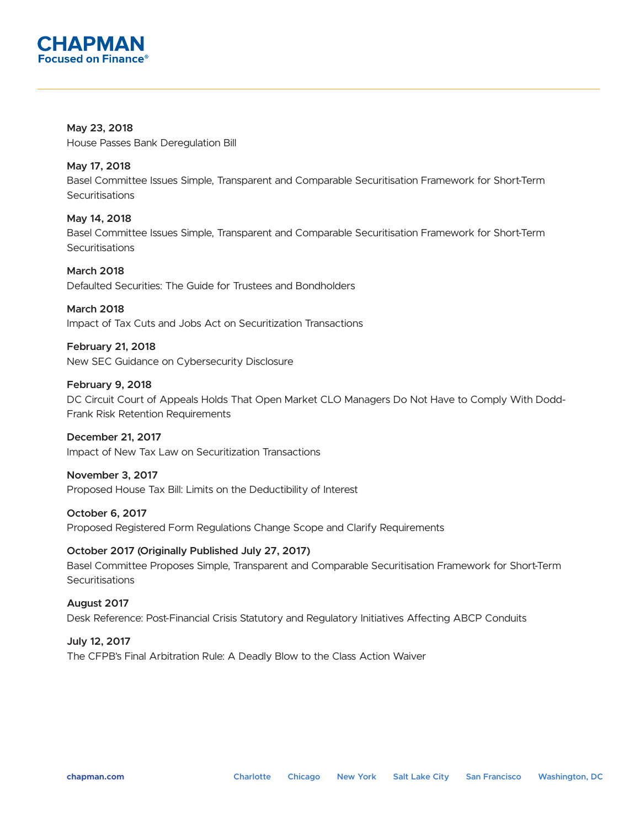

**May 23, 2018** House Passes Bank Deregulation Bill

**May 17, 2018** Basel Committee Issues Simple, Transparent and Comparable Securitisation Framework for Short-Term **Securitisations** 

**May 14, 2018** Basel Committee Issues Simple, Transparent and Comparable Securitisation Framework for Short-Term **Securitisations** 

**March 2018** Defaulted Securities: The Guide for Trustees and Bondholders

**March 2018** Impact of Tax Cuts and Jobs Act on Securitization Transactions

**February 21, 2018** New SEC Guidance on Cybersecurity Disclosure

**February 9, 2018** DC Circuit Court of Appeals Holds That Open Market CLO Managers Do Not Have to Comply With Dodd-Frank Risk Retention Requirements

**December 21, 2017** Impact of New Tax Law on Securitization Transactions

**November 3, 2017** Proposed House Tax Bill: Limits on the Deductibility of Interest

**October 6, 2017** Proposed Registered Form Regulations Change Scope and Clarify Requirements

**October 2017 (Originally Published July 27, 2017)** Basel Committee Proposes Simple, Transparent and Comparable Securitisation Framework for Short-Term **Securitisations** 

**August 2017** Desk Reference: Post-Financial Crisis Statutory and Regulatory Initiatives Affecting ABCP Conduits

**July 12, 2017** The CFPB's Final Arbitration Rule: A Deadly Blow to the Class Action Waiver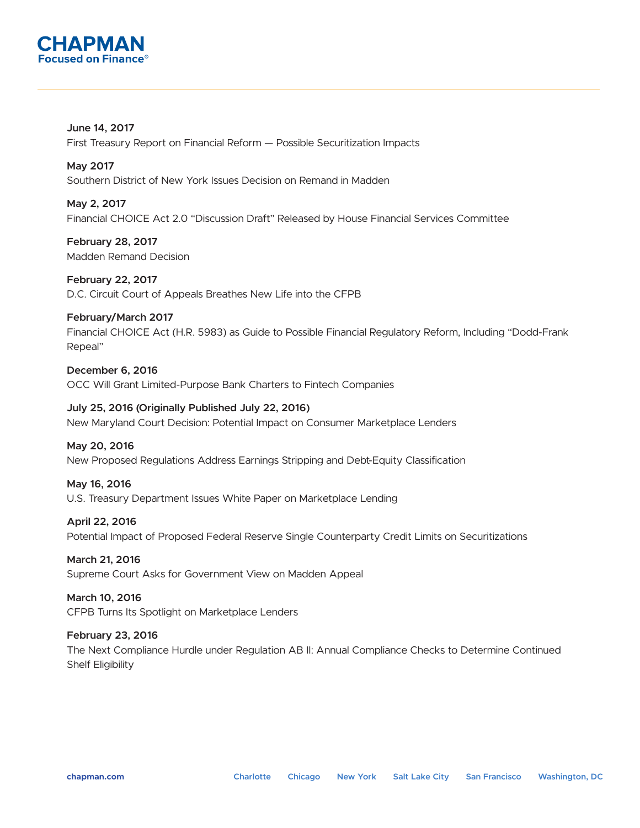

**June 14, 2017** First Treasury Report on Financial Reform — Possible Securitization Impacts

**May 2017** Southern District of New York Issues Decision on Remand in Madden

**May 2, 2017** Financial CHOICE Act 2.0 "Discussion Draft" Released by House Financial Services Committee

**February 28, 2017** Madden Remand Decision

**February 22, 2017** D.C. Circuit Court of Appeals Breathes New Life into the CFPB

#### **February/March 2017**

Financial CHOICE Act (H.R. 5983) as Guide to Possible Financial Regulatory Reform, Including "Dodd-Frank Repeal"

**December 6, 2016** OCC Will Grant Limited-Purpose Bank Charters to Fintech Companies

**July 25, 2016 (Originally Published July 22, 2016)** New Maryland Court Decision: Potential Impact on Consumer Marketplace Lenders

**May 20, 2016**

New Proposed Regulations Address Earnings Stripping and Debt-Equity Classification

#### **May 16, 2016**

U.S. Treasury Department Issues White Paper on Marketplace Lending

#### **April 22, 2016**

Potential Impact of Proposed Federal Reserve Single Counterparty Credit Limits on Securitizations

**March 21, 2016** Supreme Court Asks for Government View on Madden Appeal

**March 10, 2016** CFPB Turns Its Spotlight on Marketplace Lenders

#### **February 23, 2016**

The Next Compliance Hurdle under Regulation AB II: Annual Compliance Checks to Determine Continued Shelf Eligibility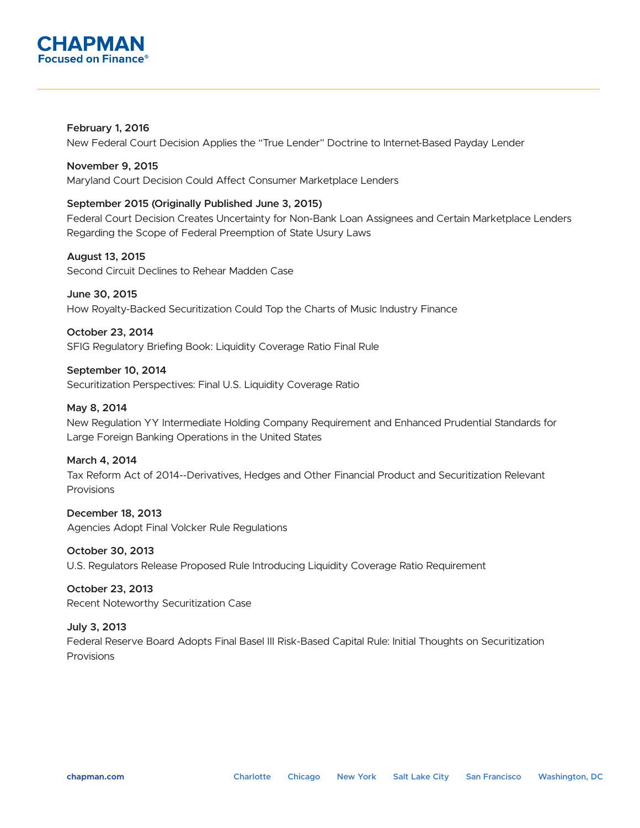

**February 1, 2016** New Federal Court Decision Applies the "True Lender" Doctrine to Internet-Based Payday Lender

**November 9, 2015** Maryland Court Decision Could Affect Consumer Marketplace Lenders

**September 2015 (Originally Published June 3, 2015)** Federal Court Decision Creates Uncertainty for Non-Bank Loan Assignees and Certain Marketplace Lenders Regarding the Scope of Federal Preemption of State Usury Laws

**August 13, 2015** Second Circuit Declines to Rehear Madden Case

**June 30, 2015** How Royalty-Backed Securitization Could Top the Charts of Music Industry Finance

**October 23, 2014** SFIG Regulatory Briefing Book: Liquidity Coverage Ratio Final Rule

**September 10, 2014** Securitization Perspectives: Final U.S. Liquidity Coverage Ratio

# **May 8, 2014**

New Regulation YY Intermediate Holding Company Requirement and Enhanced Prudential Standards for Large Foreign Banking Operations in the United States

#### **March 4, 2014**

Tax Reform Act of 2014--Derivatives, Hedges and Other Financial Product and Securitization Relevant Provisions

**December 18, 2013** Agencies Adopt Final Volcker Rule Regulations

**October 30, 2013** U.S. Regulators Release Proposed Rule Introducing Liquidity Coverage Ratio Requirement

**October 23, 2013** Recent Noteworthy Securitization Case

**July 3, 2013** Federal Reserve Board Adopts Final Basel III Risk-Based Capital Rule: Initial Thoughts on Securitization Provisions